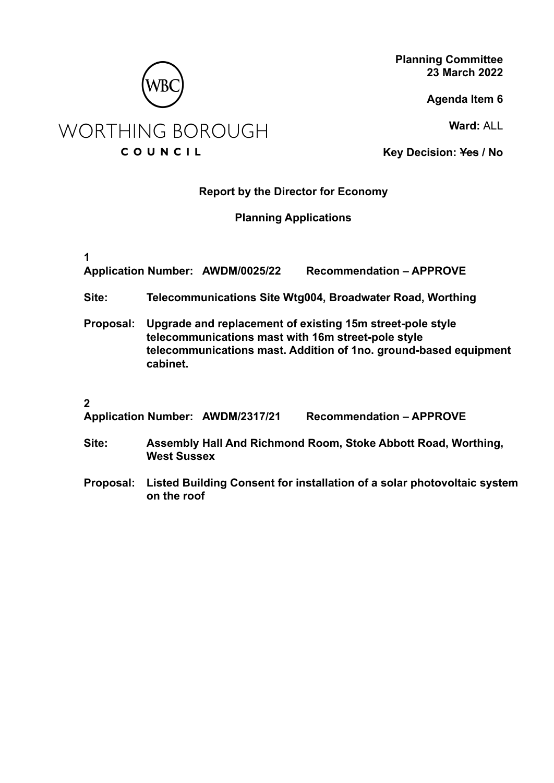**Planning Committee 23 March 2022**

**Agenda Item 6**

**Ward:** ALL

**Key Decision: Yes / No**



# **Report by the Director for Economy**

# **Planning Applications**

**1**

**Application Number: AWDM/0025/22 Recommendation – APPROVE**

- **Site: Telecommunications Site Wtg004, Broadwater Road, Worthing**
- **Proposal: Upgrade and replacement of existing 15m street-pole style telecommunications mast with 16m street-pole style telecommunications mast. Addition of 1no. ground-based equipment cabinet.**
- **2**

**Application Number: AWDM/2317/21 Recommendation – APPROVE**

- **Site: Assembly Hall And Richmond Room, Stoke Abbott Road, Worthing, West Sussex**
- **Proposal: Listed Building Consent for installation of a solar photovoltaic system on the roof**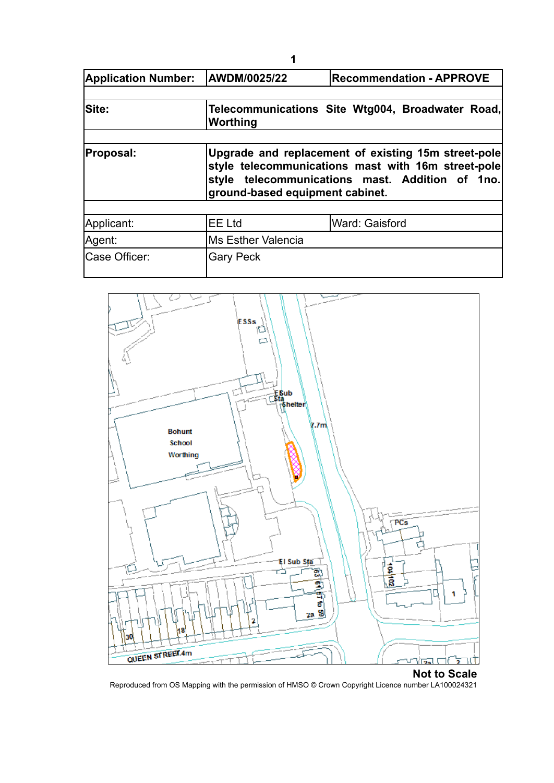| <b>Application Number:</b> | AWDM/0025/22                                                                                                                                                                                    | <b>Recommendation - APPROVE</b>                  |  |
|----------------------------|-------------------------------------------------------------------------------------------------------------------------------------------------------------------------------------------------|--------------------------------------------------|--|
| Site:                      | Worthing                                                                                                                                                                                        | Telecommunications Site Wtg004, Broadwater Road, |  |
| Proposal:                  | Upgrade and replacement of existing 15m street-pole<br>style telecommunications mast with 16m street-pole<br>style telecommunications mast. Addition of 1no.<br>ground-based equipment cabinet. |                                                  |  |
| Applicant:                 | <b>EE Ltd</b>                                                                                                                                                                                   | Ward: Gaisford                                   |  |
| Agent:                     | <b>Ms Esther Valencia</b>                                                                                                                                                                       |                                                  |  |
| lCase Officer:             | <b>Gary Peck</b>                                                                                                                                                                                |                                                  |  |



Reproduced from OS Mapping with the permission of HMSO © Crown Copyright Licence number LA100024321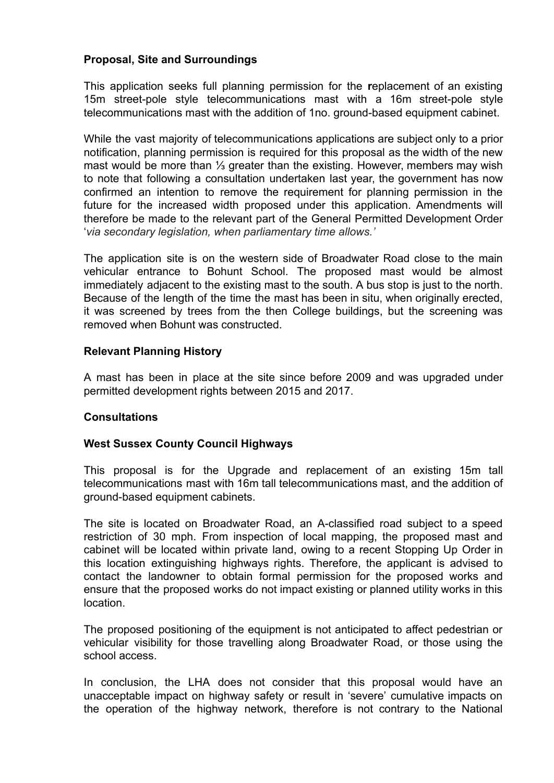## **Proposal, Site and Surroundings**

This application seeks full planning permission for the **r**eplacement of an existing 15m street-pole style telecommunications mast with a 16m street-pole style telecommunications mast with the addition of 1no. ground-based equipment cabinet.

While the vast majority of telecommunications applications are subject only to a prior notification, planning permission is required for this proposal as the width of the new mast would be more than ⅓ greater than the existing. However, members may wish to note that following a consultation undertaken last year, the government has now confirmed an intention to remove the requirement for planning permission in the future for the increased width proposed under this application. Amendments will therefore be made to the relevant part of the General Permitted Development Order '*via secondary legislation, when parliamentary time allows.'*

The application site is on the western side of Broadwater Road close to the main vehicular entrance to Bohunt School. The proposed mast would be almost immediately adjacent to the existing mast to the south. A bus stop is just to the north. Because of the length of the time the mast has been in situ, when originally erected, it was screened by trees from the then College buildings, but the screening was removed when Bohunt was constructed.

## **Relevant Planning History**

A mast has been in place at the site since before 2009 and was upgraded under permitted development rights between 2015 and 2017.

### **Consultations**

### **West Sussex County Council Highways**

This proposal is for the Upgrade and replacement of an existing 15m tall telecommunications mast with 16m tall telecommunications mast, and the addition of ground-based equipment cabinets.

The site is located on Broadwater Road, an A-classified road subject to a speed restriction of 30 mph. From inspection of local mapping, the proposed mast and cabinet will be located within private land, owing to a recent Stopping Up Order in this location extinguishing highways rights. Therefore, the applicant is advised to contact the landowner to obtain formal permission for the proposed works and ensure that the proposed works do not impact existing or planned utility works in this location.

The proposed positioning of the equipment is not anticipated to affect pedestrian or vehicular visibility for those travelling along Broadwater Road, or those using the school access.

In conclusion, the LHA does not consider that this proposal would have an unacceptable impact on highway safety or result in 'severe' cumulative impacts on the operation of the highway network, therefore is not contrary to the National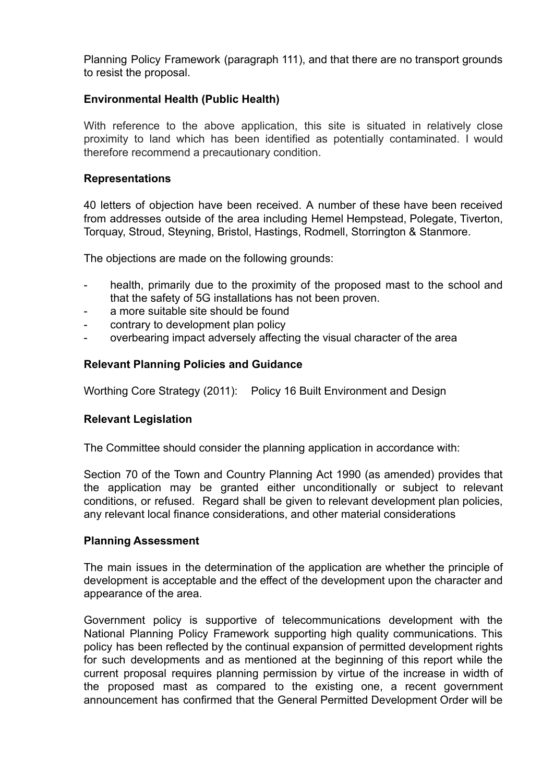Planning Policy Framework (paragraph 111), and that there are no transport grounds to resist the proposal.

### **Environmental Health (Public Health)**

With reference to the above application, this site is situated in relatively close proximity to land which has been identified as potentially contaminated. I would therefore recommend a precautionary condition.

### **Representations**

40 letters of objection have been received. A number of these have been received from addresses outside of the area including Hemel Hempstead, Polegate, Tiverton, Torquay, Stroud, Steyning, Bristol, Hastings, Rodmell, Storrington & Stanmore.

The objections are made on the following grounds:

- health, primarily due to the proximity of the proposed mast to the school and that the safety of 5G installations has not been proven.
- a more suitable site should be found
- contrary to development plan policy
- overbearing impact adversely affecting the visual character of the area

## **Relevant Planning Policies and Guidance**

Worthing Core Strategy (2011): Policy 16 Built Environment and Design

# **Relevant Legislation**

The Committee should consider the planning application in accordance with:

Section 70 of the Town and Country Planning Act 1990 (as amended) provides that the application may be granted either unconditionally or subject to relevant conditions, or refused. Regard shall be given to relevant development plan policies, any relevant local finance considerations, and other material considerations

### **Planning Assessment**

The main issues in the determination of the application are whether the principle of development is acceptable and the effect of the development upon the character and appearance of the area.

Government policy is supportive of telecommunications development with the National Planning Policy Framework supporting high quality communications. This policy has been reflected by the continual expansion of permitted development rights for such developments and as mentioned at the beginning of this report while the current proposal requires planning permission by virtue of the increase in width of the proposed mast as compared to the existing one, a recent government announcement has confirmed that the General Permitted Development Order will be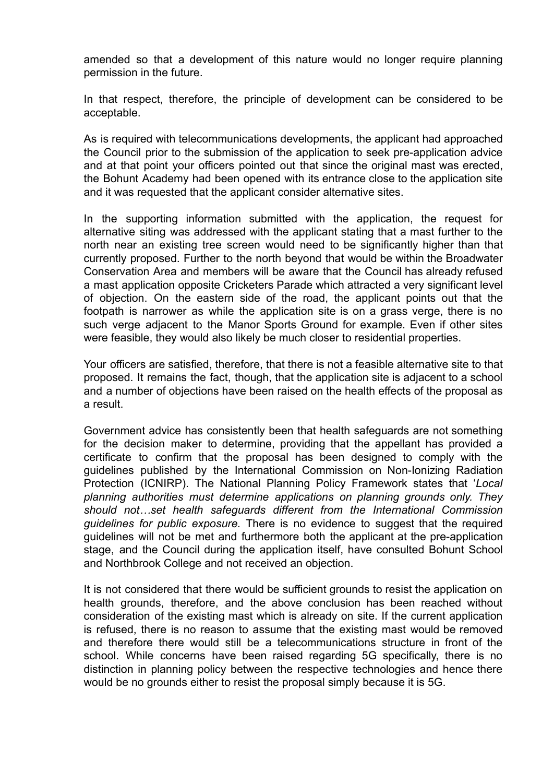amended so that a development of this nature would no longer require planning permission in the future.

In that respect, therefore, the principle of development can be considered to be acceptable.

As is required with telecommunications developments, the applicant had approached the Council prior to the submission of the application to seek pre-application advice and at that point your officers pointed out that since the original mast was erected, the Bohunt Academy had been opened with its entrance close to the application site and it was requested that the applicant consider alternative sites.

In the supporting information submitted with the application, the request for alternative siting was addressed with the applicant stating that a mast further to the north near an existing tree screen would need to be significantly higher than that currently proposed. Further to the north beyond that would be within the Broadwater Conservation Area and members will be aware that the Council has already refused a mast application opposite Cricketers Parade which attracted a very significant level of objection. On the eastern side of the road, the applicant points out that the footpath is narrower as while the application site is on a grass verge, there is no such verge adjacent to the Manor Sports Ground for example. Even if other sites were feasible, they would also likely be much closer to residential properties.

Your officers are satisfied, therefore, that there is not a feasible alternative site to that proposed. It remains the fact, though, that the application site is adjacent to a school and a number of objections have been raised on the health effects of the proposal as a result.

Government advice has consistently been that health safeguards are not something for the decision maker to determine, providing that the appellant has provided a certificate to confirm that the proposal has been designed to comply with the guidelines published by the International Commission on Non-Ionizing Radiation Protection (ICNIRP). The National Planning Policy Framework states that '*Local planning authorities must determine applications on planning grounds only. They should not…set health safeguards different from the International Commission guidelines for public exposure.* There is no evidence to suggest that the required guidelines will not be met and furthermore both the applicant at the pre-application stage, and the Council during the application itself, have consulted Bohunt School and Northbrook College and not received an objection.

It is not considered that there would be sufficient grounds to resist the application on health grounds, therefore, and the above conclusion has been reached without consideration of the existing mast which is already on site. If the current application is refused, there is no reason to assume that the existing mast would be removed and therefore there would still be a telecommunications structure in front of the school. While concerns have been raised regarding 5G specifically, there is no distinction in planning policy between the respective technologies and hence there would be no grounds either to resist the proposal simply because it is 5G.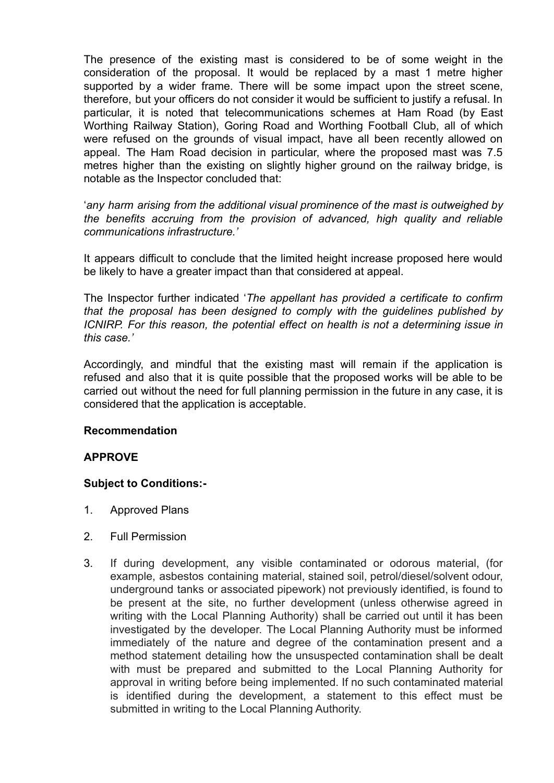The presence of the existing mast is considered to be of some weight in the consideration of the proposal. It would be replaced by a mast 1 metre higher supported by a wider frame. There will be some impact upon the street scene, therefore, but your officers do not consider it would be sufficient to justify a refusal. In particular, it is noted that telecommunications schemes at Ham Road (by East Worthing Railway Station), Goring Road and Worthing Football Club, all of which were refused on the grounds of visual impact, have all been recently allowed on appeal. The Ham Road decision in particular, where the proposed mast was 7.5 metres higher than the existing on slightly higher ground on the railway bridge, is notable as the Inspector concluded that:

'*any harm arising from the additional visual prominence of the mast is outweighed by the benefits accruing from the provision of advanced, high quality and reliable communications infrastructure.'*

It appears difficult to conclude that the limited height increase proposed here would be likely to have a greater impact than that considered at appeal.

The Inspector further indicated '*The appellant has provided a certificate to confirm that the proposal has been designed to comply with the guidelines published by ICNIRP. For this reason, the potential effect on health is not a determining issue in this case.'*

Accordingly, and mindful that the existing mast will remain if the application is refused and also that it is quite possible that the proposed works will be able to be carried out without the need for full planning permission in the future in any case, it is considered that the application is acceptable.

### **Recommendation**

### **APPROVE**

### **Subject to Conditions:-**

- 1. Approved Plans
- 2. Full Permission
- 3. If during development, any visible contaminated or odorous material, (for example, asbestos containing material, stained soil, petrol/diesel/solvent odour, underground tanks or associated pipework) not previously identified, is found to be present at the site, no further development (unless otherwise agreed in writing with the Local Planning Authority) shall be carried out until it has been investigated by the developer. The Local Planning Authority must be informed immediately of the nature and degree of the contamination present and a method statement detailing how the unsuspected contamination shall be dealt with must be prepared and submitted to the Local Planning Authority for approval in writing before being implemented. If no such contaminated material is identified during the development, a statement to this effect must be submitted in writing to the Local Planning Authority.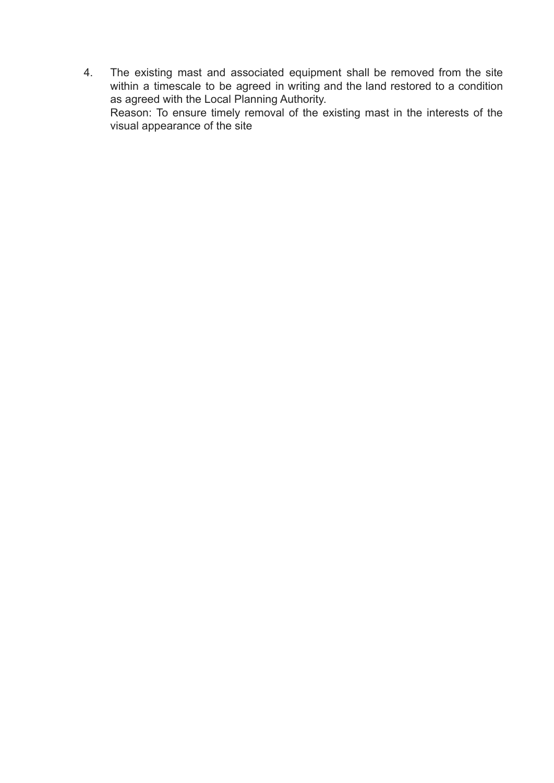4. The existing mast and associated equipment shall be removed from the site within a timescale to be agreed in writing and the land restored to a condition as agreed with the Local Planning Authority. Reason: To ensure timely removal of the existing mast in the interests of the visual appearance of the site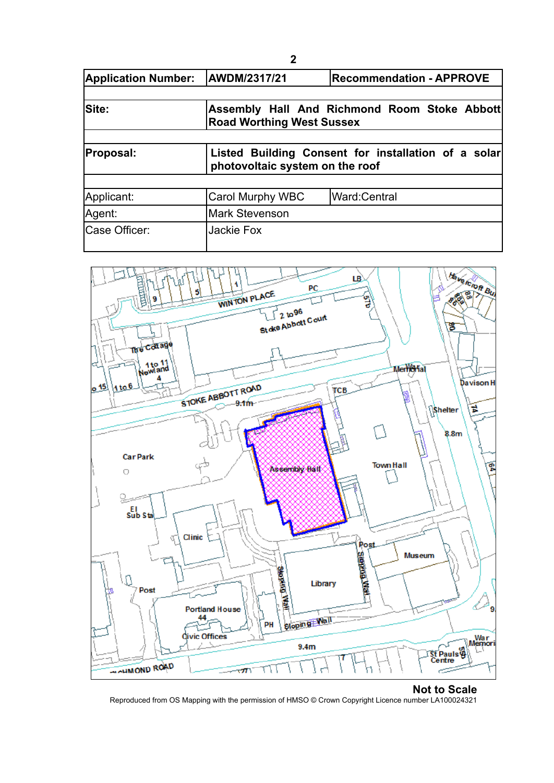| <b>Application Number:</b> | AWDM/2317/21                                                                           | <b>Recommendation - APPROVE</b>              |  |
|----------------------------|----------------------------------------------------------------------------------------|----------------------------------------------|--|
| Site:                      | <b>Road Worthing West Sussex</b>                                                       | Assembly Hall And Richmond Room Stoke Abbott |  |
| Proposal:                  | Listed Building Consent for installation of a solar<br>photovoltaic system on the roof |                                              |  |
| Applicant:                 | Carol Murphy WBC                                                                       | Ward:Central                                 |  |
| Agent:                     | <b>Mark Stevenson</b>                                                                  |                                              |  |
| Case Officer:              | Jackie Fox                                                                             |                                              |  |



#### **Not to Scale**

Reproduced from OS Mapping with the permission of HMSO © Crown Copyright Licence number LA100024321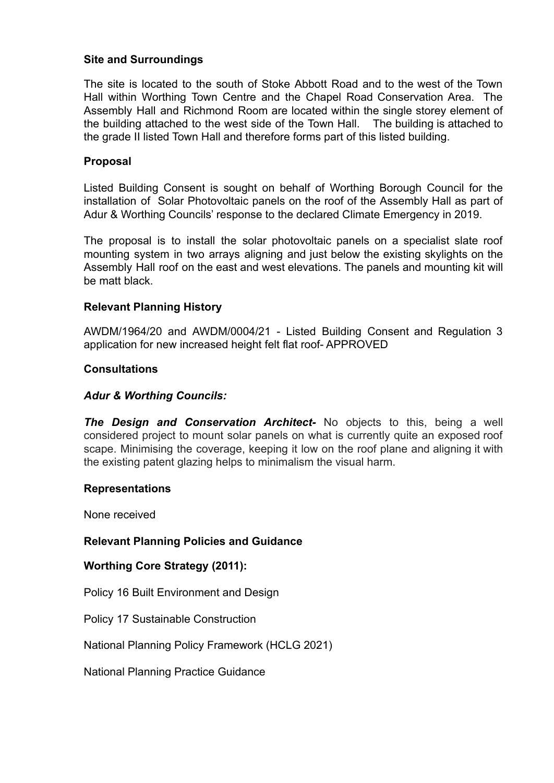## **Site and Surroundings**

The site is located to the south of Stoke Abbott Road and to the west of the Town Hall within Worthing Town Centre and the Chapel Road Conservation Area. The Assembly Hall and Richmond Room are located within the single storey element of the building attached to the west side of the Town Hall. The building is attached to the grade II listed Town Hall and therefore forms part of this listed building.

### **Proposal**

Listed Building Consent is sought on behalf of Worthing Borough Council for the installation of Solar Photovoltaic panels on the roof of the Assembly Hall as part of Adur & Worthing Councils' response to the declared Climate Emergency in 2019.

The proposal is to install the solar photovoltaic panels on a specialist slate roof mounting system in two arrays aligning and just below the existing skylights on the Assembly Hall roof on the east and west elevations. The panels and mounting kit will be matt black.

## **Relevant Planning History**

AWDM/1964/20 and AWDM/0004/21 - Listed Building Consent and Regulation 3 application for new increased height felt flat roof- APPROVED

### **Consultations**

### *Adur & Worthing Councils:*

*The Design and Conservation Architect-* No objects to this, being a well considered project to mount solar panels on what is currently quite an exposed roof scape. Minimising the coverage, keeping it low on the roof plane and aligning it with the existing patent glazing helps to minimalism the visual harm.

### **Representations**

None received

# **Relevant Planning Policies and Guidance**

### **Worthing Core Strategy (2011):**

Policy 16 Built Environment and Design

Policy 17 Sustainable Construction

National Planning Policy Framework (HCLG 2021)

National Planning Practice Guidance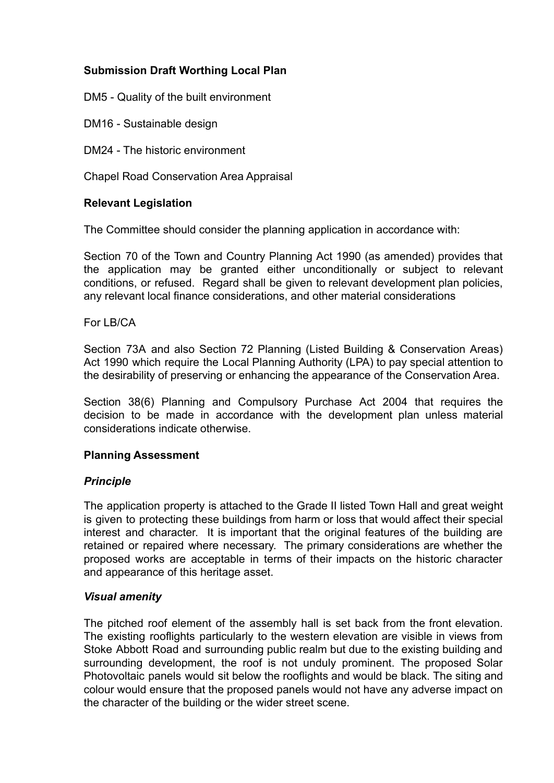# **Submission Draft Worthing Local Plan**

DM5 - Quality of the built environment

DM16 - Sustainable design

DM24 - The historic environment

Chapel Road Conservation Area Appraisal

## **Relevant Legislation**

The Committee should consider the planning application in accordance with:

Section 70 of the Town and Country Planning Act 1990 (as amended) provides that the application may be granted either unconditionally or subject to relevant conditions, or refused. Regard shall be given to relevant development plan policies, any relevant local finance considerations, and other material considerations

#### For LB/CA

Section 73A and also Section 72 Planning (Listed Building & Conservation Areas) Act 1990 which require the Local Planning Authority (LPA) to pay special attention to the desirability of preserving or enhancing the appearance of the Conservation Area.

Section 38(6) Planning and Compulsory Purchase Act 2004 that requires the decision to be made in accordance with the development plan unless material considerations indicate otherwise.

### **Planning Assessment**

### *Principle*

The application property is attached to the Grade II listed Town Hall and great weight is given to protecting these buildings from harm or loss that would affect their special interest and character. It is important that the original features of the building are retained or repaired where necessary. The primary considerations are whether the proposed works are acceptable in terms of their impacts on the historic character and appearance of this heritage asset.

### *Visual amenity*

The pitched roof element of the assembly hall is set back from the front elevation. The existing rooflights particularly to the western elevation are visible in views from Stoke Abbott Road and surrounding public realm but due to the existing building and surrounding development, the roof is not unduly prominent. The proposed Solar Photovoltaic panels would sit below the rooflights and would be black. The siting and colour would ensure that the proposed panels would not have any adverse impact on the character of the building or the wider street scene.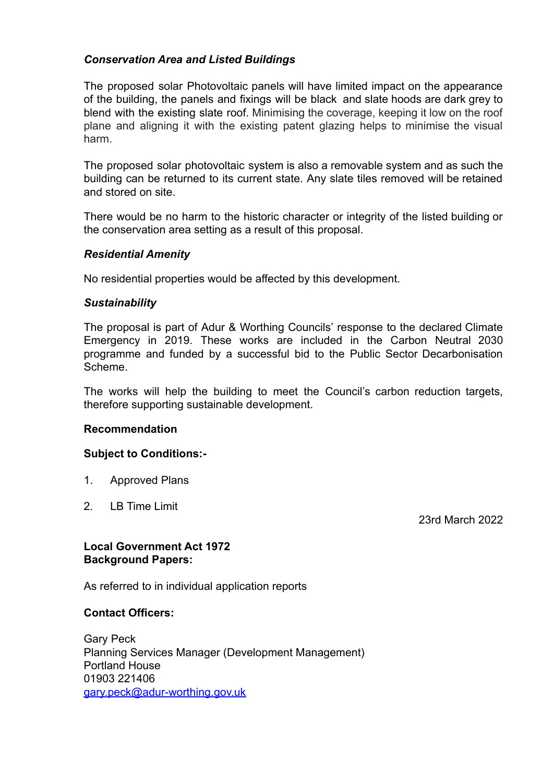## *Conservation Area and Listed Buildings*

The proposed solar Photovoltaic panels will have limited impact on the appearance of the building, the panels and fixings will be black and slate hoods are dark grey to blend with the existing slate roof. Minimising the coverage, keeping it low on the roof plane and aligning it with the existing patent glazing helps to minimise the visual harm.

The proposed solar photovoltaic system is also a removable system and as such the building can be returned to its current state. Any slate tiles removed will be retained and stored on site.

There would be no harm to the historic character or integrity of the listed building or the conservation area setting as a result of this proposal.

### *Residential Amenity*

No residential properties would be affected by this development.

#### *Sustainability*

The proposal is part of Adur & Worthing Councils' response to the declared Climate Emergency in 2019. These works are included in the Carbon Neutral 2030 programme and funded by a successful bid to the Public Sector Decarbonisation Scheme.

The works will help the building to meet the Council's carbon reduction targets, therefore supporting sustainable development.

#### **Recommendation**

#### **Subject to Conditions:-**

- 1. Approved Plans
- 2. LB Time Limit

23rd March 2022

#### **Local Government Act 1972 Background Papers:**

As referred to in individual application reports

#### **Contact Officers:**

Gary Peck Planning Services Manager (Development Management) Portland House 01903 221406 [gary.peck@adur-worthing.gov.uk](mailto:gary.peck@adur-worthing.gov.uk)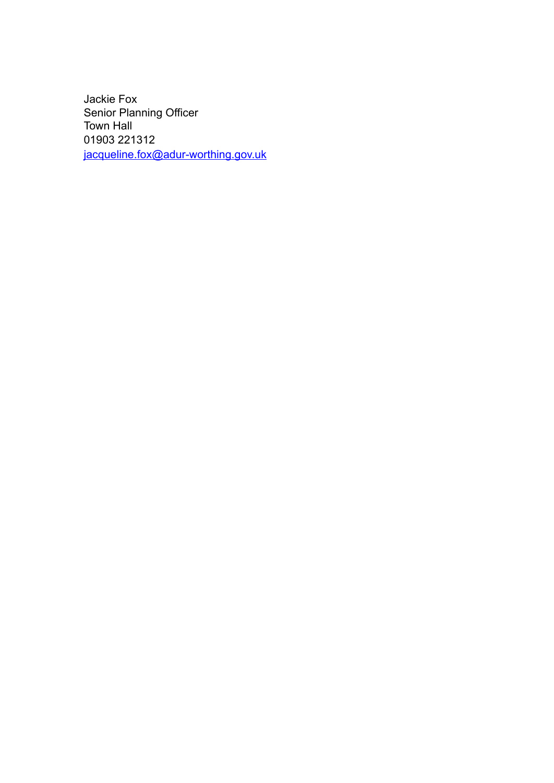Jackie Fox Senior Planning Officer Town Hall 01903 221312 [jacqueline.fox@adur-worthing.gov.uk](mailto:jacqueline.fox@adur-worthing.gov.uk)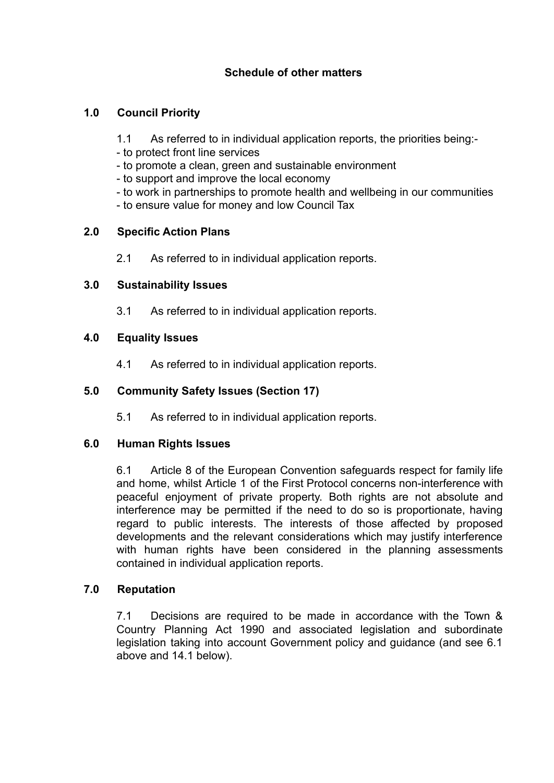# **Schedule of other matters**

# **1.0 Council Priority**

- 1.1 As referred to in individual application reports, the priorities being:-
- to protect front line services
- to promote a clean, green and sustainable environment
- to support and improve the local economy
- to work in partnerships to promote health and wellbeing in our communities
- to ensure value for money and low Council Tax

# **2.0 Specific Action Plans**

2.1 As referred to in individual application reports.

# **3.0 Sustainability Issues**

3.1 As referred to in individual application reports.

# **4.0 Equality Issues**

4.1 As referred to in individual application reports.

# **5.0 Community Safety Issues (Section 17)**

5.1 As referred to in individual application reports.

# **6.0 Human Rights Issues**

6.1 Article 8 of the European Convention safeguards respect for family life and home, whilst Article 1 of the First Protocol concerns non-interference with peaceful enjoyment of private property. Both rights are not absolute and interference may be permitted if the need to do so is proportionate, having regard to public interests. The interests of those affected by proposed developments and the relevant considerations which may justify interference with human rights have been considered in the planning assessments contained in individual application reports.

# **7.0 Reputation**

7.1 Decisions are required to be made in accordance with the Town & Country Planning Act 1990 and associated legislation and subordinate legislation taking into account Government policy and guidance (and see 6.1 above and 14.1 below).